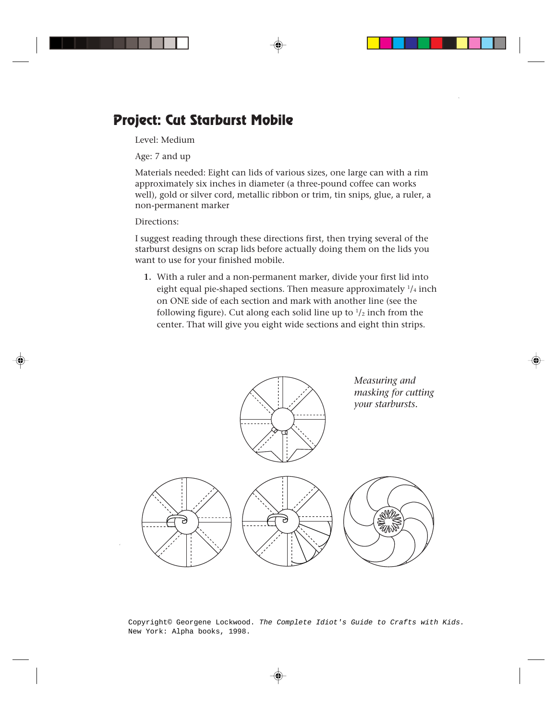## **Project: Cut Starburst Mobile**

Level: Medium

Age: 7 and up

Materials needed: Eight can lids of various sizes, one large can with a rim approximately six inches in diameter (a three-pound coffee can works well), gold or silver cord, metallic ribbon or trim, tin snips, glue, a ruler, a non-permanent marker

## Directions:

I suggest reading through these directions first, then trying several of the starburst designs on scrap lids before actually doing them on the lids you want to use for your finished mobile.

**1.** With a ruler and a non-permanent marker, divide your first lid into eight equal pie-shaped sections. Then measure approximately  $\frac{1}{4}$  inch on ONE side of each section and mark with another line (see the following figure). Cut along each solid line up to  $\frac{1}{2}$  inch from the center. That will give you eight wide sections and eight thin strips.



Copyright© Georgene Lockwood. The Complete Idiot's Guide to Crafts with Kids. New York: Alpha books, 1998.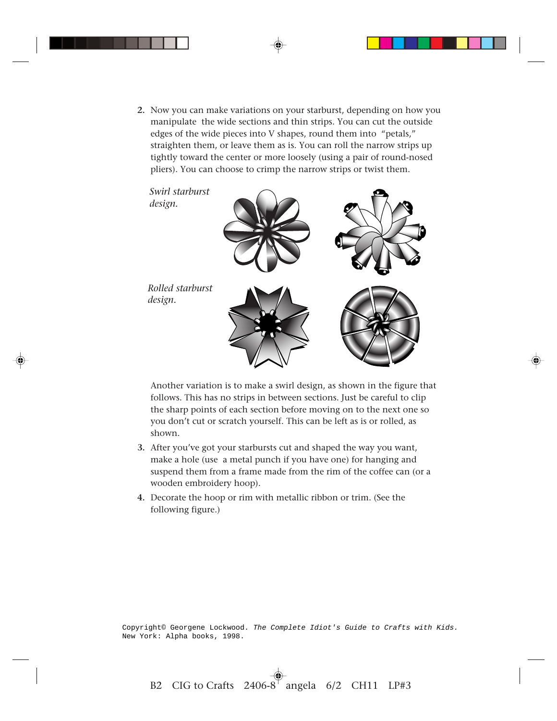**2.** Now you can make variations on your starburst, depending on how you manipulate the wide sections and thin strips. You can cut the outside edges of the wide pieces into V shapes, round them into "petals," straighten them, or leave them as is. You can roll the narrow strips up tightly toward the center or more loosely (using a pair of round-nosed pliers). You can choose to crimp the narrow strips or twist them.



Another variation is to make a swirl design, as shown in the figure that follows. This has no strips in between sections. Just be careful to clip the sharp points of each section before moving on to the next one so you don't cut or scratch yourself. This can be left as is or rolled, as shown.

- **3.** After you've got your starbursts cut and shaped the way you want, make a hole (use a metal punch if you have one) for hanging and suspend them from a frame made from the rim of the coffee can (or a wooden embroidery hoop).
- **4.** Decorate the hoop or rim with metallic ribbon or trim. (See the following figure.)